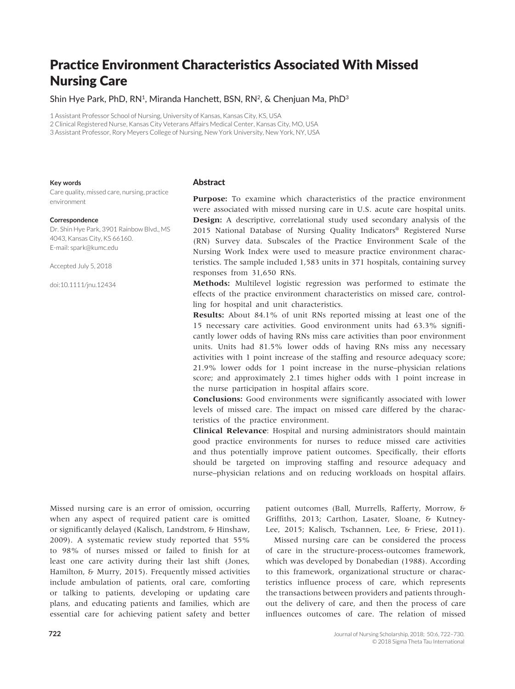# Practice Environment Characteristics Associated With Missed Nursing Care

# Shin Hye Park, PhD, RN<sup>1</sup>, Miranda Hanchett, BSN, RN<sup>2</sup>, & Chenjuan Ma, PhD<sup>3</sup>

1 Assistant Professor School of Nursing, University of Kansas, Kansas City, KS, USA

2 Clinical Registered Nurse, Kansas City Veterans Affairs Medical Center, Kansas City, MO, USA

3 Assistant Professor, Rory Meyers College of Nursing, New York University, New York, NY, USA

#### **Key words**

Care quality, missed care, nursing, practice environment

#### **Correspondence**

Dr. Shin Hye Park, 3901 Rainbow Blvd., MS 4043, Kansas City, KS 66160. E-mail: [spark@kumc.edu](mailto:spark@kumc.edu)

Accepted July 5, 2018

doi:10.1111/jnu.12434

## **Abstract**

Purpose: To examine which characteristics of the practice environment were associated with missed nursing care in U.S. acute care hospital units. **Design:** A descriptive, correlational study used secondary analysis of the 2015 National Database of Nursing Quality Indicators® Registered Nurse (RN) Survey data. Subscales of the Practice Environment Scale of the Nursing Work Index were used to measure practice environment characteristics. The sample included 1,583 units in 371 hospitals, containing survey responses from 31,650 RNs.

**Methods:** Multilevel logistic regression was performed to estimate the effects of the practice environment characteristics on missed care, controlling for hospital and unit characteristics.

**Results:** About 84.1% of unit RNs reported missing at least one of the 15 necessary care activities. Good environment units had 63.3% significantly lower odds of having RNs miss care activities than poor environment units. Units had 81.5% lower odds of having RNs miss any necessary activities with 1 point increase of the staffing and resource adequacy score; 21.9% lower odds for 1 point increase in the nurse–physician relations score; and approximately 2.1 times higher odds with 1 point increase in the nurse participation in hospital affairs score.

**Conclusions:** Good environments were significantly associated with lower levels of missed care. The impact on missed care differed by the characteristics of the practice environment.

**Clinical Relevance**: Hospital and nursing administrators should maintain good practice environments for nurses to reduce missed care activities and thus potentially improve patient outcomes. Specifically, their efforts should be targeted on improving staffing and resource adequacy and nurse–physician relations and on reducing workloads on hospital affairs.

Missed nursing care is an error of omission, occurring when any aspect of required patient care is omitted or significantly delayed (Kalisch, Landstrom, & Hinshaw, 2009). A systematic review study reported that 55% to 98% of nurses missed or failed to finish for at least one care activity during their last shift (Jones, Hamilton, & Murry, 2015). Frequently missed activities include ambulation of patients, oral care, comforting or talking to patients, developing or updating care plans, and educating patients and families, which are essential care for achieving patient safety and better patient outcomes (Ball, Murrells, Rafferty, Morrow, & Griffiths, 2013; Carthon, Lasater, Sloane, & Kutney-Lee, 2015; Kalisch, Tschannen, Lee, & Friese, 2011).

Missed nursing care can be considered the process of care in the structure-process-outcomes framework, which was developed by Donabedian (1988). According to this framework, organizational structure or characteristics influence process of care, which represents the transactions between providers and patients throughout the delivery of care, and then the process of care influences outcomes of care. The relation of missed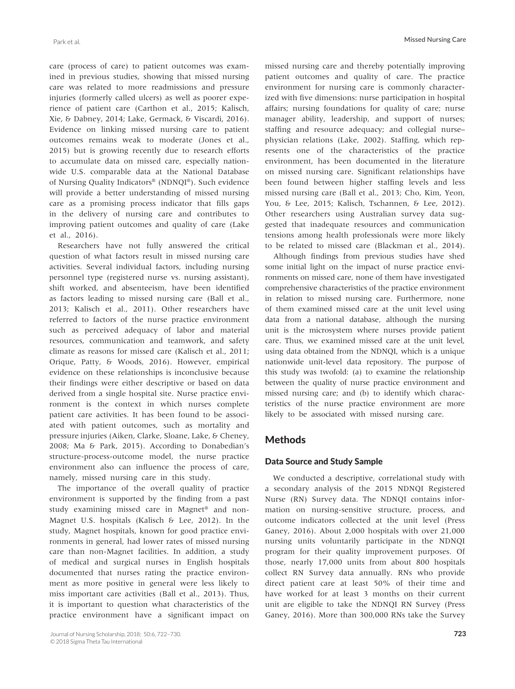care (process of care) to patient outcomes was examined in previous studies, showing that missed nursing care was related to more readmissions and pressure injuries (formerly called ulcers) as well as poorer experience of patient care (Carthon et al., 2015; Kalisch, Xie, & Dabney, 2014; Lake, Germack, & Viscardi, 2016). Evidence on linking missed nursing care to patient outcomes remains weak to moderate (Jones et al., 2015) but is growing recently due to research efforts to accumulate data on missed care, especially nationwide U.S. comparable data at the National Database of Nursing Quality Indicators® (NDNQI®). Such evidence will provide a better understanding of missed nursing care as a promising process indicator that fills gaps in the delivery of nursing care and contributes to improving patient outcomes and quality of care (Lake et al., 2016).

Researchers have not fully answered the critical question of what factors result in missed nursing care activities. Several individual factors, including nursing personnel type (registered nurse vs. nursing assistant), shift worked, and absenteeism, have been identified as factors leading to missed nursing care (Ball et al., 2013; Kalisch et al., 2011). Other researchers have referred to factors of the nurse practice environment such as perceived adequacy of labor and material resources, communication and teamwork, and safety climate as reasons for missed care (Kalisch et al., 2011; Orique, Patty, & Woods, 2016). However, empirical evidence on these relationships is inconclusive because their findings were either descriptive or based on data derived from a single hospital site. Nurse practice environment is the context in which nurses complete patient care activities. It has been found to be associated with patient outcomes, such as mortality and pressure injuries (Aiken, Clarke, Sloane, Lake, & Cheney, 2008; Ma & Park, 2015). According to Donabedian's structure-process-outcome model, the nurse practice environment also can influence the process of care, namely, missed nursing care in this study.

The importance of the overall quality of practice environment is supported by the finding from a past study examining missed care in Magnet® and non-Magnet U.S. hospitals (Kalisch & Lee, 2012). In the study, Magnet hospitals, known for good practice environments in general, had lower rates of missed nursing care than non-Magnet facilities. In addition, a study of medical and surgical nurses in English hospitals documented that nurses rating the practice environment as more positive in general were less likely to miss important care activities (Ball et al., 2013). Thus, it is important to question what characteristics of the practice environment have a significant impact on

missed nursing care and thereby potentially improving patient outcomes and quality of care. The practice environment for nursing care is commonly characterized with five dimensions: nurse participation in hospital affairs; nursing foundations for quality of care; nurse manager ability, leadership, and support of nurses; staffing and resource adequacy; and collegial nurse– physician relations (Lake, 2002). Staffing, which represents one of the characteristics of the practice environment, has been documented in the literature on missed nursing care. Significant relationships have been found between higher staffing levels and less missed nursing care (Ball et al., 2013; Cho, Kim, Yeon, You, & Lee, 2015; Kalisch, Tschannen, & Lee, 2012). Other researchers using Australian survey data suggested that inadequate resources and communication tensions among health professionals were more likely to be related to missed care (Blackman et al., 2014).

Although findings from previous studies have shed some initial light on the impact of nurse practice environments on missed care, none of them have investigated comprehensive characteristics of the practice environment in relation to missed nursing care. Furthermore, none of them examined missed care at the unit level using data from a national database, although the nursing unit is the microsystem where nurses provide patient care. Thus, we examined missed care at the unit level, using data obtained from the NDNQI, which is a unique nationwide unit-level data repository. The purpose of this study was twofold: (a) to examine the relationship between the quality of nurse practice environment and missed nursing care; and (b) to identify which characteristics of the nurse practice environment are more likely to be associated with missed nursing care.

# Methods

# Data Source and Study Sample

We conducted a descriptive, correlational study with a secondary analysis of the 2015 NDNQI Registered Nurse (RN) Survey data. The NDNQI contains information on nursing-sensitive structure, process, and outcome indicators collected at the unit level (Press Ganey, 2016). About 2,000 hospitals with over 21,000 nursing units voluntarily participate in the NDNQI program for their quality improvement purposes. Of those, nearly 17,000 units from about 800 hospitals collect RN Survey data annually. RNs who provide direct patient care at least 50% of their time and have worked for at least 3 months on their current unit are eligible to take the NDNQI RN Survey (Press Ganey, 2016). More than 300,000 RNs take the Survey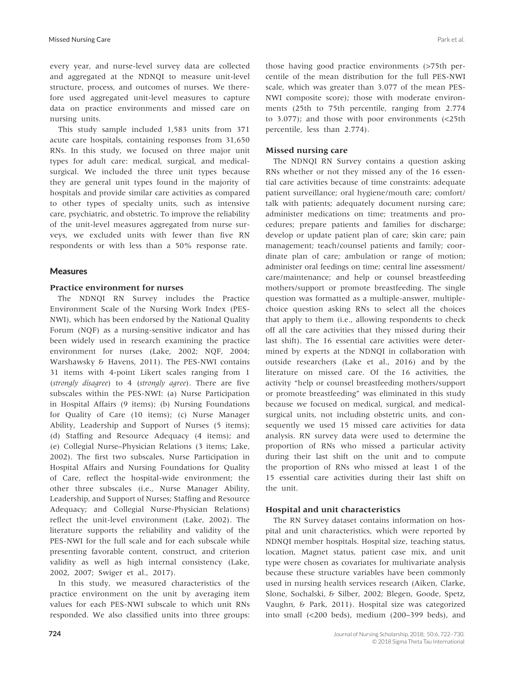every year, and nurse-level survey data are collected and aggregated at the NDNQI to measure unit-level structure, process, and outcomes of nurses. We therefore used aggregated unit-level measures to capture data on practice environments and missed care on nursing units.

This study sample included 1,583 units from 371 acute care hospitals, containing responses from 31,650 RNs. In this study, we focused on three major unit types for adult care: medical, surgical, and medicalsurgical. We included the three unit types because they are general unit types found in the majority of hospitals and provide similar care activities as compared to other types of specialty units, such as intensive care, psychiatric, and obstetric. To improve the reliability of the unit-level measures aggregated from nurse surveys, we excluded units with fewer than five RN respondents or with less than a 50% response rate.

## Measures

## **Practice environment for nurses**

The NDNQI RN Survey includes the Practice Environment Scale of the Nursing Work Index (PES-NWI), which has been endorsed by the National Quality Forum (NQF) as a nursing-sensitive indicator and has been widely used in research examining the practice environment for nurses (Lake, 2002; NQF, 2004; Warshawsky & Havens, 2011). The PES-NWI contains 31 items with 4-point Likert scales ranging from 1 (*strongly disagree*) to 4 (*strongly agree*). There are five subscales within the PES-NWI: (a) Nurse Participation in Hospital Affairs (9 items); (b) Nursing Foundations for Quality of Care (10 items); (c) Nurse Manager Ability, Leadership and Support of Nurses (5 items); (d) Staffing and Resource Adequacy (4 items); and (e) Collegial Nurse–Physician Relations (3 items; Lake, 2002). The first two subscales, Nurse Participation in Hospital Affairs and Nursing Foundations for Quality of Care, reflect the hospital-wide environment; the other three subscales (i.e., Nurse Manager Ability, Leadership, and Support of Nurses; Staffing and Resource Adequacy; and Collegial Nurse-Physician Relations) reflect the unit-level environment (Lake, 2002). The literature supports the reliability and validity of the PES-NWI for the full scale and for each subscale while presenting favorable content, construct, and criterion validity as well as high internal consistency (Lake, 2002, 2007; Swiger et al., 2017).

In this study, we measured characteristics of the practice environment on the unit by averaging item values for each PES-NWI subscale to which unit RNs responded. We also classified units into three groups:

those having good practice environments (>75th percentile of the mean distribution for the full PES-NWI scale, which was greater than 3.077 of the mean PES-NWI composite score); those with moderate environments (25th to 75th percentile, ranging from 2.774 to 3.077); and those with poor environments (<25th percentile, less than 2.774).

## **Missed nursing care**

The NDNQI RN Survey contains a question asking RNs whether or not they missed any of the 16 essential care activities because of time constraints: adequate patient surveillance; oral hygiene/mouth care; comfort/ talk with patients; adequately document nursing care; administer medications on time; treatments and procedures; prepare patients and families for discharge; develop or update patient plan of care; skin care; pain management; teach/counsel patients and family; coordinate plan of care; ambulation or range of motion; administer oral feedings on time; central line assessment/ care/maintenance; and help or counsel breastfeeding mothers/support or promote breastfeeding. The single question was formatted as a multiple-answer, multiplechoice question asking RNs to select all the choices that apply to them (i.e., allowing respondents to check off all the care activities that they missed during their last shift). The 16 essential care activities were determined by experts at the NDNQI in collaboration with outside researchers (Lake et al., 2016) and by the literature on missed care. Of the 16 activities, the activity "help or counsel breastfeeding mothers/support or promote breastfeeding" was eliminated in this study because we focused on medical, surgical, and medicalsurgical units, not including obstetric units, and consequently we used 15 missed care activities for data analysis. RN survey data were used to determine the proportion of RNs who missed a particular activity during their last shift on the unit and to compute the proportion of RNs who missed at least 1 of the 15 essential care activities during their last shift on the unit.

## **Hospital and unit characteristics**

The RN Survey dataset contains information on hospital and unit characteristics, which were reported by NDNQI member hospitals. Hospital size, teaching status, location, Magnet status, patient case mix, and unit type were chosen as covariates for multivariate analysis because these structure variables have been commonly used in nursing health services research (Aiken, Clarke, Slone, Sochalski, & Silber, 2002; Blegen, Goode, Spetz, Vaughn, & Park, 2011). Hospital size was categorized into small (<200 beds), medium (200–399 beds), and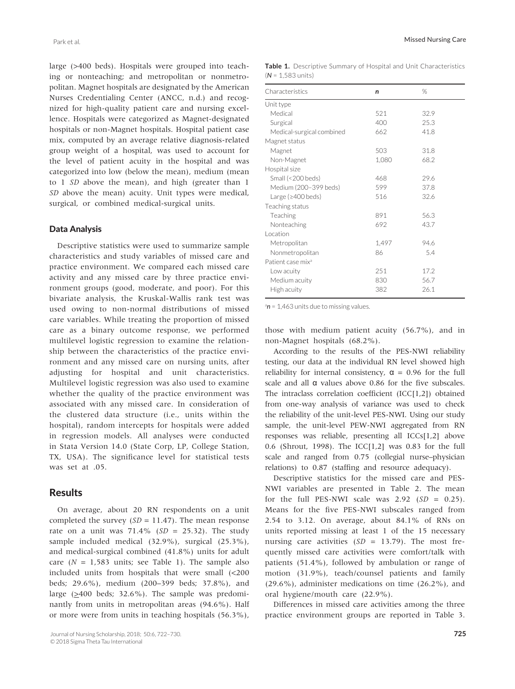large (>400 beds). Hospitals were grouped into teaching or nonteaching; and metropolitan or nonmetropolitan. Magnet hospitals are designated by the American Nurses Credentialing Center (ANCC, n.d.) and recognized for high-quality patient care and nursing excellence. Hospitals were categorized as Magnet-designated hospitals or non-Magnet hospitals. Hospital patient case mix, computed by an average relative diagnosis-related group weight of a hospital, was used to account for the level of patient acuity in the hospital and was categorized into low (below the mean), medium (mean to 1 *SD* above the mean), and high (greater than 1 *SD* above the mean) acuity. Unit types were medical, surgical, or combined medical-surgical units.

#### Data Analysis

Descriptive statistics were used to summarize sample characteristics and study variables of missed care and practice environment. We compared each missed care activity and any missed care by three practice environment groups (good, moderate, and poor). For this bivariate analysis, the Kruskal-Wallis rank test was used owing to non-normal distributions of missed care variables. While treating the proportion of missed care as a binary outcome response, we performed multilevel logistic regression to examine the relationship between the characteristics of the practice environment and any missed care on nursing units, after adjusting for hospital and unit characteristics. Multilevel logistic regression was also used to examine whether the quality of the practice environment was associated with any missed care. In consideration of the clustered data structure (i.e., units within the hospital), random intercepts for hospitals were added in regression models. All analyses were conducted in Stata Version 14.0 (State Corp, LP, College Station, TX, USA). The significance level for statistical tests was set at .05.

# **Results**

On average, about 20 RN respondents on a unit completed the survey  $(SD = 11.47)$ . The mean response rate on a unit was  $71.4\%$  (*SD* = 25.32). The study sample included medical (32.9%), surgical (25.3%), and medical-surgical combined (41.8%) units for adult care  $(N = 1,583$  units; see Table 1). The sample also included units from hospitals that were small (<200 beds; 29.6%), medium (200–399 beds; 37.8%), and large  $(\geq 400$  beds; 32.6%). The sample was predominantly from units in metropolitan areas (94.6%). Half or more were from units in teaching hospitals (56.3%),

|                             | Table 1. Descriptive Summary of Hospital and Unit Characteristics |  |  |  |
|-----------------------------|-------------------------------------------------------------------|--|--|--|
| $(N = 1.583 \text{ units})$ |                                                                   |  |  |  |

| Characteristics               | n     | %    |
|-------------------------------|-------|------|
| Unit type                     |       |      |
| Medical                       | 521   | 32.9 |
| Surgical                      | 400   | 25.3 |
| Medical-surgical combined     | 662   | 41.8 |
| Magnet status                 |       |      |
| Magnet                        | 503   | 31.8 |
| Non-Magnet                    | 1,080 | 68.2 |
| Hospital size                 |       |      |
| Small (<200 beds)             | 468   | 29.6 |
| Medium (200-399 beds)         | 599   | 37.8 |
| Large ( $\geq$ 400 beds)      | 516   | 32.6 |
| Teaching status               |       |      |
| Teaching                      | 891   | 56.3 |
| Nonteaching                   | 692   | 43.7 |
| Location                      |       |      |
| Metropolitan                  | 1,497 | 94.6 |
| Nonmetropolitan               | 86    | 5.4  |
| Patient case mix <sup>a</sup> |       |      |
| Low acuity                    | 251   | 17.2 |
| Medium acuity                 | 830   | 56.7 |
| High acuity                   | 382   | 26.1 |
|                               |       |      |

<sup>a</sup>n = 1,463 units due to missing values.

those with medium patient acuity (56.7%), and in non-Magnet hospitals (68.2%).

According to the results of the PES-NWI reliability testing, our data at the individual RN level showed high reliability for internal consistency,  $\alpha = 0.96$  for the full scale and all α values above 0.86 for the five subscales. The intraclass correlation coefficient (ICC[1,2]) obtained from one-way analysis of variance was used to check the reliability of the unit-level PES-NWI. Using our study sample, the unit-level PEW-NWI aggregated from RN responses was reliable, presenting all ICCs[1,2] above 0.6 (Shrout, 1998). The ICC[1,2] was 0.83 for the full scale and ranged from 0.75 (collegial nurse–physician relations) to 0.87 (staffing and resource adequacy).

Descriptive statistics for the missed care and PES-NWI variables are presented in Table 2. The mean for the full PES-NWI scale was 2.92 (*SD* = 0.25). Means for the five PES-NWI subscales ranged from 2.54 to 3.12. On average, about 84.1% of RNs on units reported missing at least 1 of the 15 necessary nursing care activities  $(SD = 13.79)$ . The most frequently missed care activities were comfort/talk with patients (51.4%), followed by ambulation or range of motion (31.9%), teach/counsel patients and family (29.6%), administer medications on time (26.2%), and oral hygiene/mouth care (22.9%).

Differences in missed care activities among the three practice environment groups are reported in Table 3.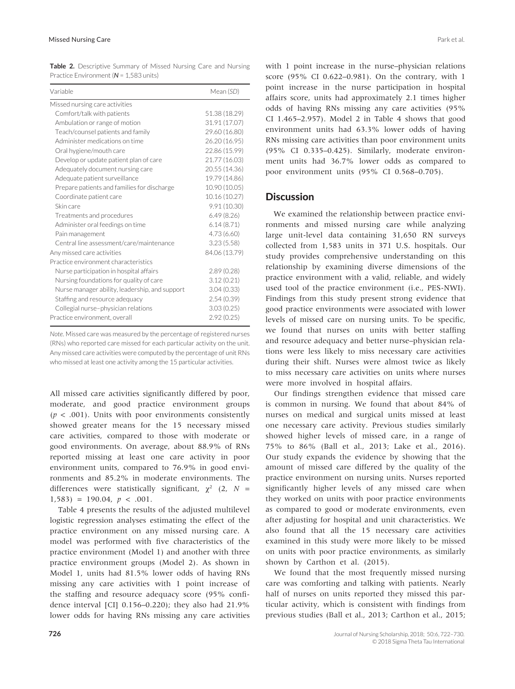| <b>Table 2.</b> Descriptive Summary of Missed Nursing Care and Nursing |  |  |  |
|------------------------------------------------------------------------|--|--|--|
| Practice Environment ( $N = 1.583$ units)                              |  |  |  |

| Variable                                       | Mean (SD)     |
|------------------------------------------------|---------------|
| Missed nursing care activities                 |               |
| Comfort/talk with patients                     | 51.38 (18.29) |
| Ambulation or range of motion                  | 31.91 (17.07) |
| Teach/counsel patients and family              | 29.60 (16.80) |
| Administer medications on time                 | 26.20 (16.95) |
| Oral hygiene/mouth care                        | 22.86 (15.99) |
| Develop or update patient plan of care         | 21.77 (16.03) |
| Adequately document nursing care               | 20.55 (14.36) |
| Adequate patient surveillance                  | 19.79 (14.86) |
| Prepare patients and families for discharge    | 10.90 (10.05) |
| Coordinate patient care                        | 10.16 (10.27) |
| Skin care                                      | 9.91(10.30)   |
| Treatments and procedures                      | 6.49(8.26)    |
| Administer oral feedings on time               | 6.14(8.71)    |
| Pain management                                | 4.73(6.60)    |
| Central line assessment/care/maintenance       | 3.23(5.58)    |
| Any missed care activities                     | 84.06 (13.79) |
| Practice environment characteristics           |               |
| Nurse participation in hospital affairs        | 2.89(0.28)    |
| Nursing foundations for quality of care        | 3.12(0.21)    |
| Nurse manager ability, leadership, and support | 3.04(0.33)    |
| Staffing and resource adequacy                 | 2.54(0.39)    |
| Collegial nurse-physician relations            | 3.03(0.25)    |
| Practice environment, overall                  | 2.92(0.25)    |

*Note*. Missed care was measured by the percentage of registered nurses (RNs) who reported care missed for each particular activity on the unit. Any missed care activities were computed by the percentage of unit RNs who missed at least one activity among the 15 particular activities.

All missed care activities significantly differed by poor, moderate, and good practice environment groups  $(p < .001)$ . Units with poor environments consistently showed greater means for the 15 necessary missed care activities, compared to those with moderate or good environments. On average, about 88.9% of RNs reported missing at least one care activity in poor environment units, compared to 76.9% in good environments and 85.2% in moderate environments. The differences were statistically significant,  $\chi^2$  (2, *N* =  $1,583$ ) = 190.04,  $p < .001$ .

Table 4 presents the results of the adjusted multilevel logistic regression analyses estimating the effect of the practice environment on any missed nursing care. A model was performed with five characteristics of the practice environment (Model 1) and another with three practice environment groups (Model 2). As shown in Model 1, units had 81.5% lower odds of having RNs missing any care activities with 1 point increase of the staffing and resource adequacy score (95% confidence interval [CI] 0.156–0.220); they also had 21.9% lower odds for having RNs missing any care activities

with 1 point increase in the nurse–physician relations score (95% CI 0.622–0.981). On the contrary, with 1 point increase in the nurse participation in hospital affairs score, units had approximately 2.1 times higher odds of having RNs missing any care activities (95% CI  $1.465-2.957$ ). Model 2 in Table 4 shows that good environment units had 63.3% lower odds of having RNs missing care activities than poor environment units (95% CI 0.335–0.425). Similarly, moderate environment units had 36.7% lower odds as compared to poor environment units (95% CI 0.568–0.705).

## **Discussion**

We examined the relationship between practice environments and missed nursing care while analyzing large unit-level data containing 31,650 RN surveys collected from 1,583 units in 371 U.S. hospitals. Our study provides comprehensive understanding on this relationship by examining diverse dimensions of the practice environment with a valid, reliable, and widely used tool of the practice environment (i.e., PES-NWI). Findings from this study present strong evidence that good practice environments were associated with lower levels of missed care on nursing units. To be specific, we found that nurses on units with better staffing and resource adequacy and better nurse–physician relations were less likely to miss necessary care activities during their shift. Nurses were almost twice as likely to miss necessary care activities on units where nurses were more involved in hospital affairs.

Our findings strengthen evidence that missed care is common in nursing. We found that about 84% of nurses on medical and surgical units missed at least one necessary care activity. Previous studies similarly showed higher levels of missed care, in a range of 75% to 86% (Ball et al., 2013; Lake et al., 2016). Our study expands the evidence by showing that the amount of missed care differed by the quality of the practice environment on nursing units. Nurses reported significantly higher levels of any missed care when they worked on units with poor practice environments as compared to good or moderate environments, even after adjusting for hospital and unit characteristics. We also found that all the 15 necessary care activities examined in this study were more likely to be missed on units with poor practice environments, as similarly shown by Carthon et al. (2015).

We found that the most frequently missed nursing care was comforting and talking with patients. Nearly half of nurses on units reported they missed this particular activity, which is consistent with findings from previous studies (Ball et al., 2013; Carthon et al., 2015;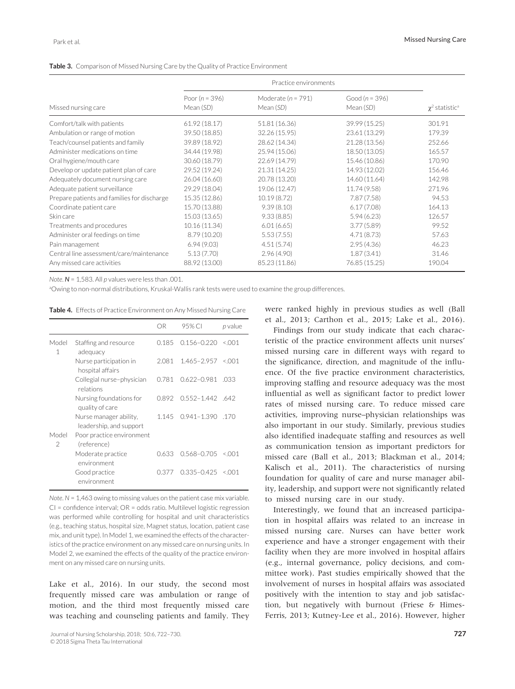| <b>Table 3.</b> Comparison of Missed Nursing Care by the Quality of Practice Environment |
|------------------------------------------------------------------------------------------|
|------------------------------------------------------------------------------------------|

| Missed nursing care                         | Poor ( $n = 396$ )<br>Mean (SD) | Moderate ( $n = 791$ )<br>Mean (SD) | Good ( $n = 396$ )<br>Mean (SD) | $\chi^2$ statistic <sup>a</sup> |
|---------------------------------------------|---------------------------------|-------------------------------------|---------------------------------|---------------------------------|
| Comfort/talk with patients                  | 61.92 (18.17)                   | 51.81 (16.36)                       | 39.99 (15.25)                   | 301.91                          |
| Ambulation or range of motion               | 39.50 (18.85)                   | 32.26 (15.95)                       | 23.61 (13.29)                   | 179.39                          |
| Teach/counsel patients and family           | 39.89 (18.92)                   | 28.62 (14.34)                       | 21.28 (13.56)                   | 252.66                          |
| Administer medications on time              | 34.44 (19.98)                   | 25.94 (15.06)                       | 18.50 (13.05)                   | 165.57                          |
| Oral hygiene/mouth care                     | 30.60 (18.79)                   | 22.69 (14.79)                       | 15.46 (10.86)                   | 170.90                          |
| Develop or update patient plan of care      | 29.52 (19.24)                   | 21.31 (14.25)                       | 14.93 (12.02)                   | 156.46                          |
| Adequately document nursing care            | 26.04 (16.60)                   | 20.78 (13.20)                       | 14.60 (11.64)                   | 142.98                          |
| Adequate patient surveillance               | 29.29 (18.04)                   | 19.06 (12.47)                       | 11.74 (9.58)                    | 271.96                          |
| Prepare patients and families for discharge | 15.35 (12.86)                   | 10.19(8.72)                         | 7.87(7.58)                      | 94.53                           |
| Coordinate patient care                     | 15.70 (13.88)                   | 9.39(8.10)                          | 6.17(7.08)                      | 164.13                          |
| Skin care                                   | 15.03 (13.65)                   | 9.33(8.85)                          | 5.94(6.23)                      | 126.57                          |
| Treatments and procedures                   | 10.16 (11.34)                   | 6.01(6.65)                          | 3.77(5.89)                      | 99.52                           |
| Administer oral feedings on time            | 8.79 (10.20)                    | 5.53(7.55)                          | 4.71(8.73)                      | 57.63                           |
| Pain management                             | 6.94(9.03)                      | 4.51(5.74)                          | 2.95(4.36)                      | 46.23                           |
| Central line assessment/care/maintenance    | 5.13(7.70)                      | 2.96(4.90)                          | 1.87(3.41)                      | 31.46                           |
| Any missed care activities                  | 88.92 (13.00)                   | 85.23 (11.86)                       | 76.85 (15.25)                   | 190.04                          |

*Note*. *N* = 1,583. All *p* values were less than .001.

a Owing to non-normal distributions, Kruskal-Wallis rank tests were used to examine the group differences.

**Table 4.** Effects of Practice Environment on Any Missed Nursing Care

|                        |                                                   | OR    | 95% CI                    | p value |
|------------------------|---------------------------------------------------|-------|---------------------------|---------|
| Model<br>1             | Staffing and resource<br>adequacy                 | 0.185 | $0.156 - 0.220$           | 0.001   |
|                        | Nurse participation in<br>hospital affairs        | 2.081 | $1.465 - 2.957 \le 0.001$ |         |
|                        | Collegial nurse-physician<br>relations            | 0.781 | $0.622 - 0.981$           | .033    |
|                        | Nursing foundations for<br>quality of care        | 0.892 | $0.552 - 1.442$ .642      |         |
|                        | Nurse manager ability,<br>leadership, and support | 1.145 | $0.941 - 1.390$ .170      |         |
| Model<br>$\mathcal{P}$ | Poor practice environment<br>(reference)          |       |                           |         |
|                        | Moderate practice<br>environment                  | 0.633 | $0.568 - 0.705$           | $<$ 001 |
|                        | Good practice<br>environment                      | 0.377 | $0.335 - 0.425$           | $<$ 001 |

*Note*. *N* = 1,463 owing to missing values on the patient case mix variable. CI = confidence interval; OR = odds ratio. Multilevel logistic regression was performed while controlling for hospital and unit characteristics (e.g., teaching status, hospital size, Magnet status, location, patient case mix, and unit type). In Model 1, we examined the effects of the characteristics of the practice environment on any missed care on nursing units. In Model 2, we examined the effects of the quality of the practice environment on any missed care on nursing units.

Lake et al., 2016). In our study, the second most frequently missed care was ambulation or range of motion, and the third most frequently missed care was teaching and counseling patients and family. They were ranked highly in previous studies as well (Ball et al., 2013; Carthon et al., 2015; Lake et al., 2016).

Findings from our study indicate that each characteristic of the practice environment affects unit nurses' missed nursing care in different ways with regard to the significance, direction, and magnitude of the influence. Of the five practice environment characteristics, improving staffing and resource adequacy was the most influential as well as significant factor to predict lower rates of missed nursing care. To reduce missed care activities, improving nurse–physician relationships was also important in our study. Similarly, previous studies also identified inadequate staffing and resources as well as communication tension as important predictors for missed care (Ball et al., 2013; Blackman et al., 2014; Kalisch et al., 2011). The characteristics of nursing foundation for quality of care and nurse manager ability, leadership, and support were not significantly related to missed nursing care in our study.

Interestingly, we found that an increased participation in hospital affairs was related to an increase in missed nursing care. Nurses can have better work experience and have a stronger engagement with their facility when they are more involved in hospital affairs (e.g., internal governance, policy decisions, and committee work). Past studies empirically showed that the involvement of nurses in hospital affairs was associated positively with the intention to stay and job satisfaction, but negatively with burnout (Friese & Himes-Ferris, 2013; Kutney-Lee et al., 2016). However, higher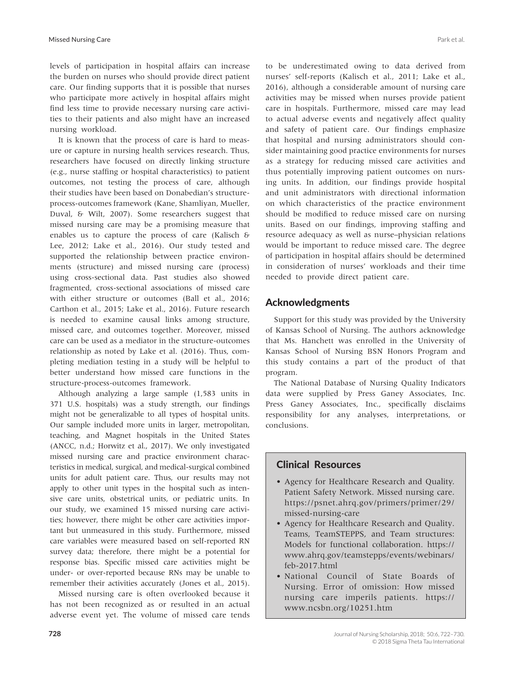levels of participation in hospital affairs can increase the burden on nurses who should provide direct patient care. Our finding supports that it is possible that nurses who participate more actively in hospital affairs might find less time to provide necessary nursing care activities to their patients and also might have an increased nursing workload.

It is known that the process of care is hard to measure or capture in nursing health services research. Thus, researchers have focused on directly linking structure (e.g., nurse staffing or hospital characteristics) to patient outcomes, not testing the process of care, although their studies have been based on Donabedian's structureprocess-outcomes framework (Kane, Shamliyan, Mueller, Duval, & Wilt, 2007). Some researchers suggest that missed nursing care may be a promising measure that enables us to capture the process of care (Kalisch & Lee, 2012; Lake et al., 2016). Our study tested and supported the relationship between practice environments (structure) and missed nursing care (process) using cross-sectional data. Past studies also showed fragmented, cross-sectional associations of missed care with either structure or outcomes (Ball et al., 2016; Carthon et al., 2015; Lake et al., 2016). Future research is needed to examine causal links among structure, missed care, and outcomes together. Moreover, missed care can be used as a mediator in the structure-outcomes relationship as noted by Lake et al. (2016). Thus, completing mediation testing in a study will be helpful to better understand how missed care functions in the structure-process-outcomes framework.

Although analyzing a large sample (1,583 units in 371 U.S. hospitals) was a study strength, our findings might not be generalizable to all types of hospital units. Our sample included more units in larger, metropolitan, teaching, and Magnet hospitals in the United States (ANCC, n.d.; Horwitz et al., 2017). We only investigated missed nursing care and practice environment characteristics in medical, surgical, and medical-surgical combined units for adult patient care. Thus, our results may not apply to other unit types in the hospital such as intensive care units, obstetrical units, or pediatric units. In our study, we examined 15 missed nursing care activities; however, there might be other care activities important but unmeasured in this study. Furthermore, missed care variables were measured based on self-reported RN survey data; therefore, there might be a potential for response bias. Specific missed care activities might be under- or over-reported because RNs may be unable to remember their activities accurately (Jones et al., 2015).

Missed nursing care is often overlooked because it has not been recognized as or resulted in an actual adverse event yet. The volume of missed care tends

**728**

to be underestimated owing to data derived from nurses' self-reports (Kalisch et al., 2011; Lake et al., 2016), although a considerable amount of nursing care activities may be missed when nurses provide patient care in hospitals. Furthermore, missed care may lead to actual adverse events and negatively affect quality and safety of patient care. Our findings emphasize that hospital and nursing administrators should consider maintaining good practice environments for nurses as a strategy for reducing missed care activities and thus potentially improving patient outcomes on nursing units. In addition, our findings provide hospital and unit administrators with directional information on which characteristics of the practice environment should be modified to reduce missed care on nursing units. Based on our findings, improving staffing and resource adequacy as well as nurse–physician relations would be important to reduce missed care. The degree of participation in hospital affairs should be determined in consideration of nurses' workloads and their time needed to provide direct patient care.

# Acknowledgments

Support for this study was provided by the University of Kansas School of Nursing. The authors acknowledge that Ms. Hanchett was enrolled in the University of Kansas School of Nursing BSN Honors Program and this study contains a part of the product of that program.

The National Database of Nursing Quality Indicators data were supplied by Press Ganey Associates, Inc. Press Ganey Associates, Inc., specifically disclaims responsibility for any analyses, interpretations, or conclusions.

# Clinical Resources

- Agency for Healthcare Research and Quality. Patient Safety Network. Missed nursing care. [https://psnet.ahrq.gov/primers/primer/29/](https://psnet.ahrq.gov/primers/primer/29/missed-nursing-care) [missed-nursing-care](https://psnet.ahrq.gov/primers/primer/29/missed-nursing-care)
- Agency for Healthcare Research and Quality. Teams, TeamSTEPPS, and Team structures: Models for functional collaboration. [https://](https://www.ahrq.gov/teamstepps/events/webinars/feb-2017.html) [www.ahrq.gov/teamstepps/events/webinars/](https://www.ahrq.gov/teamstepps/events/webinars/feb-2017.html) [feb-2017.html](https://www.ahrq.gov/teamstepps/events/webinars/feb-2017.html)
- National Council of State Boards of Nursing. Error of omission: How missed nursing care imperils patients. [https://](https://www.ncsbn.org/10251.htm) [www.ncsbn.org/10251.htm](https://www.ncsbn.org/10251.htm)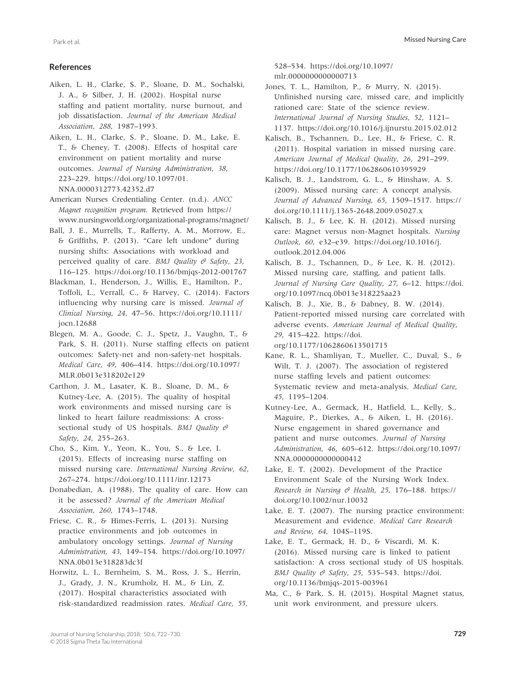#### **References**

Aiken, L. H., Clarke, S. P., Sloane, D. M., Sochalski, J. A., & Silber, J. H. (2002). Hospital nurse staffing and patient mortality, nurse burnout, and job dissatisfaction. *Journal of the American Medical Association*, *288*, 1987–1993.

Aiken, L. H., Clarke, S. P., Sloane, D. M., Lake, E. T., & Cheney, T. (2008). Effects of hospital care environment on patient mortality and nurse outcomes. *Journal of Nursing Administration*, *38*, 223–229. [https://doi.org/10.1097/01.](https://doi.org/10.1097/01.NNA.0000312773.42352.d7) [NNA.0000312773.42352.d7](https://doi.org/10.1097/01.NNA.0000312773.42352.d7)

American Nurses Credentialing Center. (n.d.). *ANCC Magnet recognition program*. Retrieved from [https://](https://www.nursingworld.org/organizational-programs/magnet/) [www.nursingworld.org/organizational-programs/magnet/](https://www.nursingworld.org/organizational-programs/magnet/)

Ball, J. E., Murrells, T., Rafferty, A. M., Morrow, E., & Griffiths, P. (2013). "Care left undone" during nursing shifts: Associations with workload and perceived quality of care. *BMJ Quality & Safety*, *23*, 116–125. <https://doi.org/10.1136/bmjqs-2012-001767>

Blackman, I., Henderson, J., Willis, E., Hamilton, P., Toffoli, L., Verrall, C., & Harvey, C. (2014). Factors influencing why nursing care is missed. *Journal of Clinical Nursing*, *24*, 47–56. [https://doi.org/10.1111/](https://doi.org/10.1111/jocn.12688) [jocn.12688](https://doi.org/10.1111/jocn.12688)

Blegen, M. A., Goode, C. J., Spetz, J., Vaughn, T., & Park, S. H. (2011). Nurse staffing effects on patient outcomes: Safety-net and non-safety-net hospitals. *Medical Care*, *49*, 406–414. [https://doi.org/10.1097/](https://doi.org/10.1097/MLR.0b013e318202e129) [MLR.0b013e318202e129](https://doi.org/10.1097/MLR.0b013e318202e129)

Carthon, J. M., Lasater, K. B., Sloane, D. M., & Kutney-Lee, A. (2015). The quality of hospital work environments and missed nursing care is linked to heart failure readmissions: A crosssectional study of US hospitals. *BMJ Quality & Safety*, *24*, 255–263.

Cho, S., Kim, Y., Yeon, K., You, S., & Lee, I. (2015). Effects of increasing nurse staffing on missed nursing care. *International Nursing Review*, *62*, 267–274. <https://doi.org/10.1111/inr.12173>

Donabedian, A. (1988). The quality of care. How can it be assessed? *Journal of the American Medical Association*, *260*, 1743–1748.

Friese, C. R., & Himes-Ferris, L. (2013). Nursing practice environments and job outcomes in ambulatory oncology settings. *Journal of Nursing Administration*, *43*, 149–154. [https://doi.org/10.1097/](https://doi.org/10.1097/NNA.0b013e318283dc3f) [NNA.0b013e318283dc3f](https://doi.org/10.1097/NNA.0b013e318283dc3f)

Horwitz, L. I., Bernheim, S. M., Ross, J. S., Herrin, J., Grady, J. N., Krumholz, H. M., & Lin, Z. (2017). Hospital characteristics associated with risk-standardized readmission rates. *Medical Care*, *55*,

528–534. [https://doi.org/10.1097/](https://doi.org/10.1097/mlr.0000000000000713) [mlr.0000000000000713](https://doi.org/10.1097/mlr.0000000000000713)

Jones, T. L., Hamilton, P., & Murry, N. (2015). Unfinished nursing care, missed care, and implicitly rationed care: State of the science review. *International Journal of Nursing Studies*, *52*, 1121– 1137. <https://doi.org/10.1016/j.ijnurstu.2015.02.012>

Kalisch, B., Tschannen, D., Lee, H., & Friese, C. R. (2011). Hospital variation in missed nursing care. *American Journal of Medical Quality*, *26*, 291–299. <https://doi.org/10.1177/1062860610395929>

Kalisch, B. J., Landstrom, G. L., & Hinshaw, A. S. (2009). Missed nursing care: A concept analysis. *Journal of Advanced Nursing*, *65*, 1509–1517. [https://](https://doi.org/10.1111/j.1365-2648.2009.05027.x) [doi.org/10.1111/j.1365-2648.2009.05027.x](https://doi.org/10.1111/j.1365-2648.2009.05027.x)

Kalisch, B. J., & Lee, K. H. (2012). Missed nursing care: Magnet versus non-Magnet hospitals. *Nursing Outlook*, *60*, e32–e39. [https://doi.org/10.1016/j.](https://doi.org/10.1016/j.outlook.2012.04.006) [outlook.2012.04.006](https://doi.org/10.1016/j.outlook.2012.04.006)

Kalisch, B. J., Tschannen, D., & Lee, K. H. (2012). Missed nursing care, staffing, and patient falls. *Journal of Nursing Care Quality*, *27*, 6–12. [https://doi.](https://doi.org/10.1097/ncq.0b013e318225aa23) [org/10.1097/ncq.0b013e318225aa23](https://doi.org/10.1097/ncq.0b013e318225aa23)

Kalisch, B. J., Xie, B., & Dabney, B. W. (2014). Patient-reported missed nursing care correlated with adverse events. *American Journal of Medical Quality*, *29*, 415–422. [https://doi.](https://doi.org/10.1177/1062860613501715) [org/10.1177/1062860613501715](https://doi.org/10.1177/1062860613501715)

Kane, R. L., Shamliyan, T., Mueller, C., Duval, S., & Wilt, T. J. (2007). The association of registered nurse staffing levels and patient outcomes: Systematic review and meta-analysis. *Medical Care*, *45*, 1195–1204.

Kutney-Lee, A., Germack, H., Hatfield, L., Kelly, S., Maguire, P., Dierkes, A., & Aiken, L. H. (2016). Nurse engagement in shared governance and patient and nurse outcomes. *Journal of Nursing Administration*, *46*, 605–612. [https://doi.org/10.1097/](https://doi.org/10.1097/NNA.0000000000000412) [NNA.0000000000000412](https://doi.org/10.1097/NNA.0000000000000412)

Lake, E. T. (2002). Development of the Practice Environment Scale of the Nursing Work Index. *Research in Nursing & Health*, *25*, 176–188. [https://](https://doi.org/10.1002/nur.10032) [doi.org/10.1002/nur.10032](https://doi.org/10.1002/nur.10032)

Lake, E. T. (2007). The nursing practice environment: Measurement and evidence. *Medical Care Research and Review*, *64*, 104S–119S.

Lake, E. T., Germack, H. D., & Viscardi, M. K. (2016). Missed nursing care is linked to patient satisfaction: A cross sectional study of US hospitals. *BMJ Quality & Safety*, *25*, 535–543. [https://doi.](https://doi.org/10.1136/bmjqs-2015-003961) [org/10.1136/bmjqs-2015-003961](https://doi.org/10.1136/bmjqs-2015-003961)

Ma, C., & Park, S. H. (2015). Hospital Magnet status, unit work environment, and pressure ulcers.